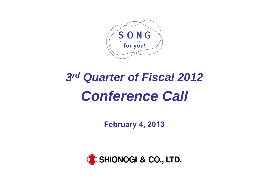

# *3rd Quarter of Fiscal 2012 Conference Call*

**February 4, 2013**

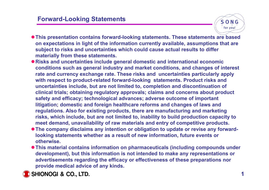#### **Forward-Looking Statements**

 $S$ -O-N-G for you!

- **This presentation contains forward-looking statements. These statements are based on expectations in light of the information currently available, assumptions that are subject to risks and uncertainties which could cause actual results to differ materially from these statements.**
- **Risks and uncertainties include general domestic and international economic conditions such as general industry and market conditions, and changes of interest rate and currency exchange rate. These risks and uncertainties particularly apply with respect to product-related forward-looking statements. Product risks and uncertainties include, but are not limited to, completion and discontinuation of clinical trials; obtaining regulatory approvals; claims and concerns about product safety and efficacy; technological advances; adverse outcome of important litigation; domestic and foreign healthcare reforms and changes of laws and regulations. Also for existing products, there are manufacturing and marketing risks, which include, but are not limited to, inability to build production capacity to meet demand, unavailability of raw materials and entry of competitive products.**
- **The company disclaims any intention or obligation to update or revise any forwardlooking statements whether as a result of new information, future events or otherwise.**
- **This material contains information on pharmaceuticals (including compounds under development), but this information is not intended to make any representations or advertisements regarding the efficacy or effectiveness of these preparations nor provide medical advice of any kinds.**

**SHIONOGI & CO., LTD.**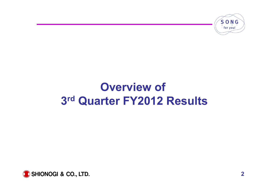

# **Overview of 3rd Quarter FY2012 Results**

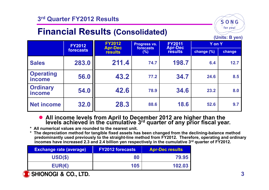## **Financial Results (Consolidated)**

for you! **(Units: B yen)**

 $S$ -O-N-G

| $\sim$                           |                                                                |               |                                  |                                 |            |        |  |
|----------------------------------|----------------------------------------------------------------|---------------|----------------------------------|---------------------------------|------------|--------|--|
|                                  | <b>FY2012</b>                                                  | <b>FY2012</b> | <b>Progress vs.</b><br>forecasts | <b>FY2011</b><br><b>Apr-Dec</b> | Y on Y     |        |  |
|                                  | <b>Apr-Dec</b><br><b>forecasts</b><br>$(\%)$<br><b>results</b> |               |                                  | <b>results</b>                  | change (%) | change |  |
| <b>Sales</b>                     | 283.0                                                          | 211.4         | 74.7                             | 198.7                           | 6.4        | 12.7   |  |
| <b>Operating</b><br>income       | 56.0                                                           | 43.2          | 77.2                             | 34.7                            | 24.6       | 8.5    |  |
| <b>Ordinary</b><br><i>income</i> | 54.0                                                           | 42.6          | 78.9                             | 34.6                            | 23.2       | 8.0    |  |
| <b>Net income</b>                | 32.0                                                           | 28.3          | 88.6                             | 18.6                            | 52.6       | 9.7    |  |

**All income levels from April to December 2012 are higher than the levels achieved in the cumulative 3rd quarter of any prior fiscal year.**

**\* All numerical values are rounded to the nearest unit.**

**\* The depreciation method for tangible fixed assets has been changed from the declining-balance method predominantly used previously to the straight-line method from FY2012. Therefore, operating and ordinary incomes have increased 2.3 and 2.4 billion yen respectively in the cumulative 3rd quarter of FY2012.** 

| <b>Exchange rate (average)</b> | <b>FY2012 forecasts</b> | <b>Apr-Dec results</b> |
|--------------------------------|-------------------------|------------------------|
| $USD(\$)$                      | 80                      | 79.95                  |
| EUR(E)                         | 105                     | 102.03                 |

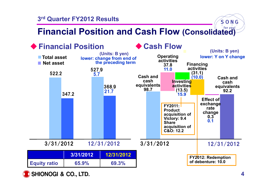# **Financial Position and Cash Flow (Consolidated)**



SHIONOGI & CO., LTD.

 $S$ -O-N-G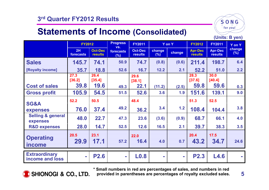

# **Statements of Income (Consolidated) (Units: B yen)**

|                                          | <b>FY2012</b>   |                                  | <b>Progress</b><br>VS. | <b>FY2011</b>                    |               | Y on Y     | <b>FY2012</b>                    | <b>FY2011</b>                    | Y on Y        |
|------------------------------------------|-----------------|----------------------------------|------------------------|----------------------------------|---------------|------------|----------------------------------|----------------------------------|---------------|
|                                          | 2H<br>forecasts | <b>Oct-Dec</b><br><b>results</b> | forecasts<br>(%)       | <b>Oct-Dec</b><br><b>results</b> | change<br>(%) | change     | <b>Apr-Dec</b><br><b>results</b> | <b>Apr-Dec</b><br><b>results</b> | change<br>(%) |
| <b>Sales</b>                             | 145.7           | 74.1                             | 50.9                   | 74.7                             | (0.8)         | (0.6)      | 211.4                            | 198.7                            | 6.4           |
| [Royalty income]                         | 35.7            | 18.8                             | 52.6                   | 16.7                             | $12.2$        | 2.1        | 52.2                             | 51.0                             | 2.2           |
|                                          | 27.3<br>[36.2]  | 26.4<br>[35.4]                   |                        | 29.6<br>[38.1]                   |               |            | 28.3<br>[37.6]                   | 30.0<br>[40.4]                   |               |
| <b>Cost of sales</b>                     | 39.8            | 19.6                             | 49.3                   | 22.1                             | (11.2)        | (2.5)      | 59.8                             | 59.6                             | 0.3           |
| <b>Gross profit</b>                      | 105.9           | 54.5                             | 51.5                   | 52.6                             | 3.6           | 1.9        | 151.6                            | 139.1                            | 9.0           |
| <b>SG&amp;A</b>                          | 52.2            | 50.5                             |                        | 48.4                             |               |            | 51.3                             | 52.5                             |               |
| expenses                                 | 76.0            | 37.4                             | 49.2                   | 36.2                             | 3.4           | 1.2        | 108.4                            | 104.4                            | 3.8           |
| <b>Selling &amp; general</b><br>expenses | 48.0            | 22.7                             | 47.3                   | 23.6                             | (3.6)         | (0.9)      | 68.7                             | 66.1                             | 4.0           |
| <b>R&amp;D expenses</b>                  | 28.0            | 14.7                             | 52.5                   | 12.6                             | 16.5          | 2.1        | 39.7                             | 38.3                             | 3.5           |
| <b>Operating</b><br>income               | 20.5<br>29.9    | 23.1<br>17.1                     | 57.2                   | 22.0<br>16.4                     | 4.0           | 0.7        | 20.4<br>43.2                     | 17.5<br>34.7                     | 24.6          |
| <b>Extraordinary</b><br>income and loss  |                 | <b>P2.6</b>                      | ÷                      | <b>LO.8</b>                      | $\equiv$      | <b>COL</b> | <b>P2.3</b>                      | L4.6                             |               |





**provided in parentheses are percentages of royalty excluded sales.**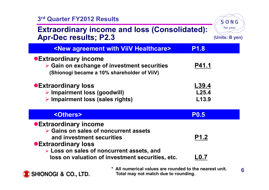| 3rd Quarter FY2012 Results                                                                                                          |                                                                                                 |                         | $S$ - $O$ - $N$ - $G$      |
|-------------------------------------------------------------------------------------------------------------------------------------|-------------------------------------------------------------------------------------------------|-------------------------|----------------------------|
| <b>Extraordinary income and loss (Consolidated):</b><br><b>Apr-Dec results; P2.3</b>                                                |                                                                                                 |                         | for you!<br>(Units: B yen) |
|                                                                                                                                     | <new agreement="" healthcare="" viiv="" with=""></new>                                          | <b>P1.8</b>             |                            |
| ● Extraordinary income<br>$\triangleright$ Gain on exchange of investment securities<br>(Shionogi became a 10% shareholder of ViiV) |                                                                                                 | P41.1                   |                            |
| ● Extraordinary loss<br>> Impairment loss (goodwill)<br>$\triangleright$ Impairment loss (sales rights)                             |                                                                                                 | L39.4<br>L25.4<br>L13.9 |                            |
| <others></others>                                                                                                                   |                                                                                                 | <b>P0.5</b>             |                            |
| <b>• Extraordinary income</b><br>▶ Gains on sales of noncurrent assets                                                              |                                                                                                 |                         |                            |
| and investment securities<br>● Extraordinary loss<br>$\triangleright$ Loss on sales of noncurrent assets, and                       |                                                                                                 | <b>P1.2</b>             |                            |
|                                                                                                                                     | loss on valuation of investment securities, etc.                                                | L <sub>0.7</sub>        |                            |
| <b>SHIONOGI &amp; CO., LTD.</b>                                                                                                     | * All numerical values are rounded to the nearest unit.<br>Total may not match due to rounding. |                         | 6                          |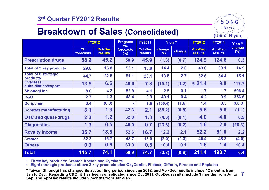### **3rd Quarter FY2012 Results**

## **Breakdown of Sales (Consolidated)**

for you! **(Units: B yen)**

 $S$ -O-N-G

|                                         | <b>FY2012</b>   |                                  | <b>Progress</b>         | <b>FY2011</b>                    |                | Y on Y | <b>FY2012</b>                    | <b>FY2011</b>                    | Y on Y        |
|-----------------------------------------|-----------------|----------------------------------|-------------------------|----------------------------------|----------------|--------|----------------------------------|----------------------------------|---------------|
|                                         | 2H<br>forecasts | <b>Oct-Dec</b><br><b>results</b> | VS.<br>forecasts<br>(%) | <b>Oct-Dec</b><br><b>results</b> | change<br>(% ) | change | <b>Apr-Dec</b><br><b>results</b> | <b>Apr-Dec</b><br><b>results</b> | change<br>(%) |
| <b>Prescription drugs</b>               | 88.9            | 45.2                             | 50.9                    | 45.9                             | (1.3)          | (0.7)  | 124.9                            | 124.6                            | 0.3           |
| <b>Total of 3 key products</b>          | 29.8            | 15.8                             | 53.1                    | 13.8                             | 14.4           | 2.0    | 43.8                             | 38.1                             | 14.9          |
| <b>Total of 8 strategic</b><br>products | 44.7            | 22.8                             | 51.1                    | 20.1                             | 13.8           | 2.7    | 62.6                             | 54.4                             | 15.1          |
| <b>Overseas</b><br>subsidiaries/export  | 13.5            | 6.6                              | 48.6                    | 7.8                              | (15.1)         | (1.2)  | $*21.4$                          | 9.8                              | 117.7         |
| Shionogi Inc.                           | 8.0             | 4.2                              | 52.9                    | 4.1                              | 2.5            | 0.1    | 11.7                             | 1.7                              | 596.4         |
| <b>C&amp;O</b>                          | 2.7             | 1.3                              | 48.4                    | 0.9                              | 40.1           | 0.4    | 4.2                              | 0.9                              | 356.6         |
| <b>Doripenem</b>                        | 0.4             | (0.0)                            |                         | 1.6                              | (100.4)        | (1.6)  | 1.4                              | 3.5                              | (60.3)        |
| <b>Contract manufacturing</b>           | 3.1             | 1.3                              | 42.3                    | 2.1                              | (35.2)         | (0.8)  | 5.8                              | 5.8                              | (1.1)         |
| <b>OTC and quasi-drugs</b>              | 2.3             | 1.2                              | 52.0                    | 1.3                              | (4.8)          | (0.1)  | 4.0                              | 4.0                              | 0.9           |
| <b>Diagnostics</b>                      | 1.3             | 0.5                              | 40.0                    | 0.7                              | (23.8)         | (0.2)  | 1.6                              | 2.0                              | (20.3)        |
| <b>Royalty income</b>                   | 35.7            | 18.8                             | 52.6                    | 16.7                             | 12.2           | 2.1    | 52.2                             | 51.0                             | 2.2           |
| <b>Crestor</b>                          | 32.3            | 15.7                             | 48.7                    | 16.0                             | (2.0)          | (0.3)  | 46.4                             | 48.3                             | (4.0)         |
| <b>Others</b>                           | 0.9             | 0.6                              | 63.9                    | 0.5                              | 10.4           | 0.1    | 1.6                              | 1.4                              | 10.4          |
| <b>Total</b>                            | 145.7           | 74.1                             | 50.9                    | 74.7                             | (0.8)          | (0.6)  | 211.4                            | 198.7                            | 6.4           |

• **Three key products: Crestor, Irbetan and Cymbalta** 

• **Eight strategic products: above 3 key products plus OxyContin, Finibax, Differin, Pirespa and Rapiacta**

**7 \* Taiwan Shionogi has changed its accounting period since Jan 2012, and Apr-Dec results include 12 months from Jan to Dec. Regarding C&O, it has been consolidated since Oct 2011, Oct-Dec results include 3 months from Jul to Sep, and Apr-Dec results include 9 months from Jan-Sep.**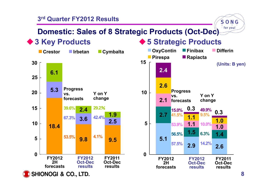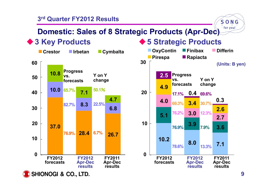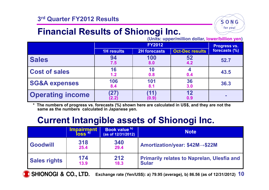

# **Financial Results of Shionogi Inc.**

**(Units: upper/million dollar, lower/billion yen)**

|                          |                   | Progress vs.        |                        |               |
|--------------------------|-------------------|---------------------|------------------------|---------------|
|                          | <b>1H results</b> | <b>2H</b> forecasts | <b>Oct-Dec results</b> | forecasts (%) |
| <b>Sales</b>             | 94<br>7.5         | 100<br>8.0          | 52<br>4.2              | 52.7          |
| <b>Cost of sales</b>     | 16<br>1.2         | 0.8                 | 0.4                    | 43.5          |
| <b>SG&amp;A expenses</b> | 106<br>8.4        | 101<br>8.1          | 36<br>3.0              | 36.3          |
| <b>Operating income</b>  | 27<br>(2.2)       | '11<br>(0.9)        | 12<br>0.9              |               |

**\* The numbers of progress vs. forecasts (%) shown here are calculated in US\$, and they are not the same as the numbers calculated in Japanese yen.**

# **Current Intangible assets of Shionogi Inc.**

|                     | <b>Impairment</b><br>loss <sup>a)</sup> | Book value b)<br>(as of 12/31/2012) | <b>Note</b>                                                       |
|---------------------|-----------------------------------------|-------------------------------------|-------------------------------------------------------------------|
| Goodwill            | 318<br>25.4                             | 340<br>29.4                         | Amortization/year: \$42M→\$22M                                    |
| <b>Sales rights</b> | 174<br>13.9                             | 212<br>18.3                         | <b>Primarily relates to Naprelan, Ulesfia and</b><br><b>Sular</b> |

**10 Exchange rate (Yen/US\$): a) 79.95 (average), b) 86.56 (as of 12/31/2012)**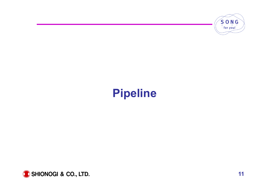

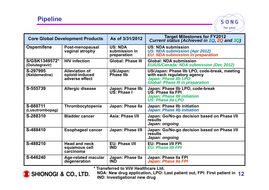

| <b>Core Global Development Products</b> |                                                           | As of 3/31/2012                                | Target Milestones for FY2012<br>Current status (Achieved in 1Q, 2Q and 3Q)                                                                     |
|-----------------------------------------|-----------------------------------------------------------|------------------------------------------------|------------------------------------------------------------------------------------------------------------------------------------------------|
| <b>Ospemifene</b>                       | Post-menopausal<br>vaginal atrophy                        | <b>US: NDA</b><br>submission in<br>preparation | <b>US: NDA submission</b><br><b>US: NDA submission (Apr 2012)</b><br><b>EU: NDA submission in preparation</b>                                  |
| S/GSK1349572*<br>(Dolutegravir)         | <b>HIV infection</b>                                      | <b>Global: Phase III</b>                       | <b>Global: NDA submission</b><br><b>EU/US/Canada: NDA submission (Dec 2012)</b>                                                                |
| S-297995<br>(Naldemedine)               | <b>Alleviation of</b><br>opioid-induced<br>adverse effect | US/Japan:<br><b>Phase IIb</b>                  | US/Japan: Phase IIb LPO, code-break, meeting<br>with each regulatory agency<br>Japan: Phase IIb LPO<br><b>Global: Phase III in preparation</b> |
| S-555739                                | <b>Allergic disease</b>                                   | Japan: Phase IIb<br>US: Phase I                | Japan: Phase IIb LPO, code-break<br>US: Phase IIa FPI<br><b>Japan: Phase IIII initiation</b><br>US: Phase IIa LPO                              |
| S-888711<br>(Lusutrombopag)             | Thrombocytopenia                                          | Japan: Phase IIa                               | Japan: Phase IIb initiation<br><b>Japan: Phase IIb initiation</b>                                                                              |
| S-288310                                | <b>Bladder cancer</b>                                     | <b>Asia: Phase I/II</b>                        | Japan: Go/No-go decision based on Phase I/II<br>results<br>Japan: ongoing                                                                      |
| S-488410                                | <b>Esophageal cancer</b>                                  | Japan: Phase I/II                              | Japan: Go/No-go decision based on Phase I/II<br>results<br>Japan: ongoing                                                                      |
| S-488210                                | <b>Head and neck</b><br>squamous cell<br>carcinoma        | EU: Phase I/II<br><b>IND</b>                   | <b>EU: Phase I/II FPI</b><br><b>EU: Phase I/II FPI</b>                                                                                         |
| S-646240                                | Age-related macular<br>degeneration                       | Japan: Phase IIa<br><b>IND</b>                 | Japan: Phase IIa FPI<br>Japan: Phase IIa FPI                                                                                                   |

**\* Transferred to ViiV Healthcare Ltd.**

SHIONOGI & CO., LTD.  $\overline{O}$ 

**12 NDA: New drug application, LPO: Last patient out, FPI: First patient in IND: Investigational new drug**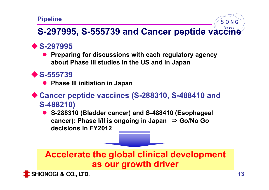# **S-297995, S-555739 and Cancer peptide vaccine**

### **S-297995**

 **Preparing for discussions with each regulatory agency about Phase III studies in the US and in Japan**

### **S-555739**

- **Phase III initiation in Japan**
- ◆ Cancer peptide vaccines (S-288310, S-488410 and **S-488210)**
	- **S-288310 (Bladder cancer) and S-488410 (Esophageal cancer): Phase I/II is ongoing in Japan** <sup>⇒</sup> **Go/No Go decisions in FY2012**

## **Accelerate the global clinical development as our growth driver**



 $S - O - N - G$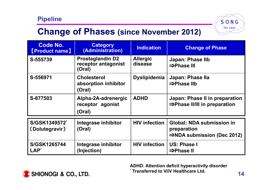

## **Change of Phases (since November 2012)**

| <b>Code No.</b><br><b>[Product name]</b> | <b>Category</b><br>(Administration)                      | <b>Indication</b>          | <b>Change of Phase</b>                                                                     |
|------------------------------------------|----------------------------------------------------------|----------------------------|--------------------------------------------------------------------------------------------|
| S-555739                                 | <b>Prostaglandin D2</b><br>receptor antagonist<br>(Oral) | <b>Allergic</b><br>disease | <b>Japan: Phase IIb</b><br>⇒Phase III                                                      |
| S-556971                                 | <b>Cholesterol</b><br>absorption inhibitor<br>(Oral)     | <b>Dyslipidemia</b>        | Japan: Phase IIa<br>$\Rightarrow$ Phase IIb                                                |
| S-877503                                 | Alpha-2A-adrenergic<br>receptor agonist<br>(Oral)        | <b>ADHD</b>                | Japan: Phase II in preparation<br>⇒Phase II/III in preparation                             |
| S/GSK1349572*<br>(Dolutegravir)          | Integrase inhibitor<br>(Oral)                            | <b>HIV infection</b>       | <b>Global: NDA submission in</b><br>preparation<br>$\Rightarrow$ NDA submission (Dec 2012) |
| S/GSK1265744<br>LAP <sup>*</sup>         | Integrase inhibitor<br>(Injection)                       | <b>HIV infection</b>       | <b>US: Phase I</b><br>$\Rightarrow$ Phase II                                               |

**ADHD: Attention deficit hyperactivity disorder \* Transferred to ViiV Healthcare Ltd.**

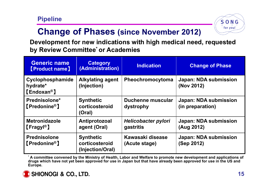

# **Change of Phases (since November 2012)**

**Development for new indications with high medical need, requested by Review Committee\* or Academies**

| <b>Generic name</b><br><b>Product name</b>                 | <b>Category</b><br>(Administration)                    | <b>Indication</b>                 | <b>Change of Phase</b>                           |
|------------------------------------------------------------|--------------------------------------------------------|-----------------------------------|--------------------------------------------------|
| Cyclophosphamide<br>hydrate*<br>$[$ Endoxan <sup>®</sup> ] | <b>Alkylating agent</b><br>(Injection)                 | Pheochromocytoma                  | <b>Japan: NDA submission</b><br>(Nov 2012)       |
| Prednisolone*<br><b>[Predonine<sup>®</sup>]</b>            | <b>Synthetic</b><br>corticosteroid<br>(Oral)           | Duchenne muscular<br>dystrophy    | <b>Japan: NDA submission</b><br>(in preparation) |
| <b>Metronidazole</b><br>$[$ Fragyl <sup>®</sup>            | Antiprotozoal<br>agent (Oral)                          | Helicobacter pylori<br>gastritis  | <b>Japan: NDA submission</b><br>(Aug 2012)       |
| <b>Prednisolone</b><br><b>[Predonine®]</b>                 | <b>Synthetic</b><br>corticosteroid<br>(Injection/Oral) | Kawasaki disease<br>(Acute stage) | <b>Japan: NDA submission</b><br>(Sep 2012)       |

**\* A committee convened by the Ministry of Health, Labor and Welfare to promote new development and applications of drugs which have not yet been approved for use in Japan but that have already been approved for use in the US and Europe.**

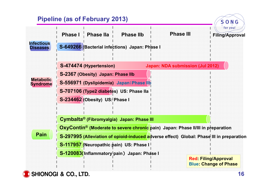### **Pipeline (as of February 2013)**



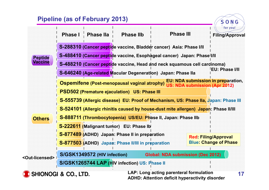### **Pipeline (as of February 2013)**